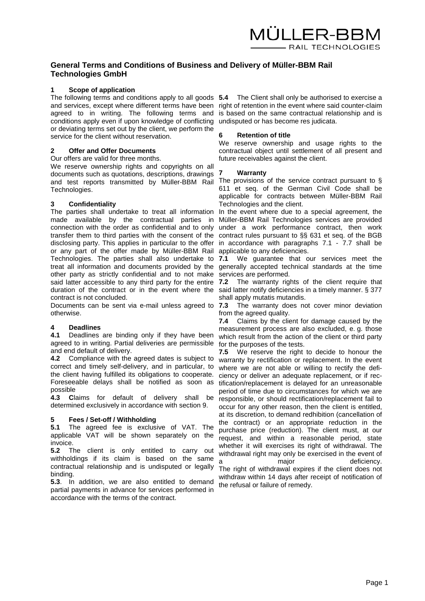# **General Terms and Conditions of Business and Delivery of Müller-BBM Rail Technologies GmbH**

# **1 Scope of application**

The following terms and conditions apply to all goods **5.4** The Client shall only be authorised to exercise a and services, except where different terms have been right of retention in the event where said counter-claim agreed to in writing. The following terms and is based on the same contractual relationship and is conditions apply even if upon knowledge of conflicting undisputed or has become res judicata. or deviating terms set out by the client, we perform the service for the client without reservation.

# **2 Offer and Offer Documents**

#### Our offers are valid for three months.

We reserve ownership rights and copyrights on all documents such as quotations, descriptions, drawings and test reports transmitted by Müller-BBM Rail The provisions of the service contract pursuant to § Technologies.

# **3 Confidentiality**

The parties shall undertake to treat all information made available by the contractual parties in connection with the order as confidential and to only under a work performance contract, then work transfer them to third parties with the consent of the contract rules pursuant to §§ 631 et seq. of the BGB disclosing party. This applies in particular to the offer in accordance with paragraphs 7.1 - 7.7 shall be or any part of the offer made by Müller-BBM Rail Technologies. The parties shall also undertake to 7.1 treat all information and documents provided by the generally accepted technical standards at the time other party as strictly confidential and to not make services are performed. said latter accessible to any third party for the entire 7.2 duration of the contract or in the event where the said latter notify deficiencies in a timely manner. § 377 contract is not concluded.

Documents can be sent via e-mail unless agreed to 7.3 otherwise.

#### **4 Deadlines**

**4.1** Deadlines are binding only if they have been agreed to in writing. Partial deliveries are permissible and end default of delivery.

**4.2** Compliance with the agreed dates is subject to correct and timely self-delivery, and in particular, to the client having fulfilled its obligations to cooperate. Foreseeable delays shall be notified as soon as possible

**4.3 C**laims for default of delivery shall be determined exclusively in accordance with section 9.

# **5 Fees / Set-off / Withholding**

**5.1** The agreed fee is exclusive of VAT. The applicable VAT will be shown separately on the invoice.

**5.2** The client is only entitled to carry out withholdings if its claim is based on the same contractual relationship and is undisputed or legally binding.

**5.3**. In addition, we are also entitled to demand partial payments in advance for services performed in accordance with the terms of the contract.

### **6 Retention of title**

We reserve ownership and usage rights to the contractual object until settlement of all present and future receivables against the client.

#### **7 Warranty**

611 et seq. of the German Civil Code shall be applicable for contracts between Müller-BBM Rail Technologies and the client.

In the event where due to a special agreement, the Müller-BBM Rail Technologies services are provided applicable to any deficiencies.

**7.1** We guarantee that our services meet the

The warranty rights of the client require that shall apply mutatis mutandis.

The warranty does not cover minor deviation from the agreed quality.

**7.4** Claims by the client for damage caused by the measurement process are also excluded, e. g. those which result from the action of the client or third party for the purposes of the tests.

**7.5** We reserve the right to decide to honour the warranty by rectification or replacement. In the event where we are not able or willing to rectify the deficiency or deliver an adequate replacement, or if rectification/replacement is delayed for an unreasonable period of time due to circumstances for which we are responsible, or should rectification/replacement fail to occur for any other reason, then the client is entitled, at its discretion, to demand redhibition (cancellation of the contract) or an appropriate reduction in the purchase price (reduction). The client must, at our request, and within a reasonable period, state whether it will exercises its right of withdrawal. The withdrawal right may only be exercised in the event of a major major deficiency. The right of withdrawal expires if the client does not withdraw within 14 days after receipt of notification of the refusal or failure of remedy.